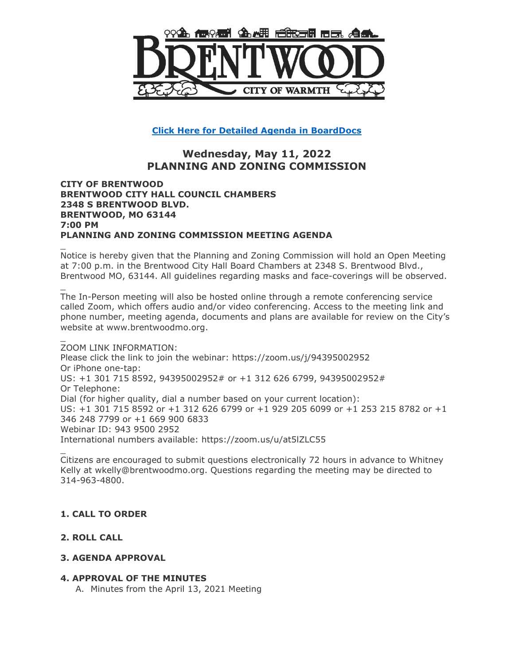

**[Click Here for Detailed Agenda](http://go.boarddocs.com/mo/cob/Board.nsf/goto?open&id=CAVMRM5C14AF) in BoardDocs**

# **Wednesday, May 11, 2022 PLANNING AND ZONING COMMISSION**

#### **CITY OF BRENTWOOD BRENTWOOD CITY HALL COUNCIL CHAMBERS 2348 S BRENTWOOD BLVD. BRENTWOOD, MO 63144 7:00 PM PLANNING AND ZONING COMMISSION MEETING AGENDA**

Notice is hereby given that the Planning and Zoning Commission will hold an Open Meeting at 7:00 p.m. in the Brentwood City Hall Board Chambers at 2348 S. Brentwood Blvd., Brentwood MO, 63144. All guidelines regarding masks and face-coverings will be observed.

The In-Person meeting will also be hosted online through a remote conferencing service called Zoom, which offers audio and/or video conferencing. Access to the meeting link and phone number, meeting agenda, documents and plans are available for review on the City's website at www.brentwoodmo.org.

ZOOM LINK INFORMATION: Please click the link to join the webinar: https://zoom.us/j/94395002952 Or iPhone one-tap: US: +1 301 715 8592, 94395002952# or +1 312 626 6799, 94395002952# Or Telephone: Dial (for higher quality, dial a number based on your current location): US: +1 301 715 8592 or +1 312 626 6799 or +1 929 205 6099 or +1 253 215 8782 or +1 346 248 7799 or +1 669 900 6833 Webinar ID: 943 9500 2952 International numbers available: https://zoom.us/u/at5lZLC55

\_ Citizens are encouraged to submit questions electronically 72 hours in advance to Whitney Kelly at wkelly@brentwoodmo.org. Questions regarding the meeting may be directed to 314-963-4800.

# **1. CALL TO ORDER**

# **2. ROLL CALL**

\_

\_

\_

### **3. AGENDA APPROVAL**

### **4. APPROVAL OF THE MINUTES**

A. Minutes from the April 13, 2021 Meeting